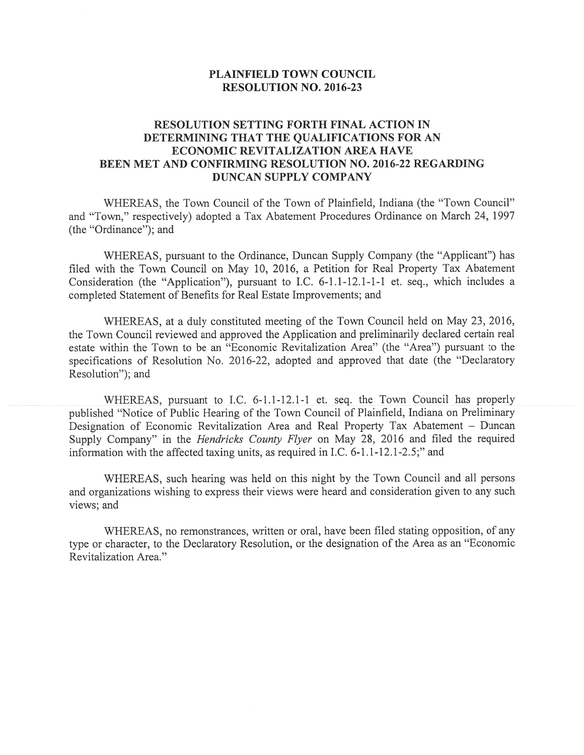## PLAINFIELD TOWN COUNCIL RESOLUTION NO. 2016-23

## RESOLUTION SETTING FORTH FINAL ACTION IN DETERMINING THAT THE QUALIFICATIONS FOR AN ECONOMIC REVITALIZATION AREA HAVE BEEN MET AND CONFIRMING RESOLUTION NO. 2016-22 REGARDING DUNCAN SUPPLY COMPANY

WHEREAS, the Town Council of the Town of Plainfield, Indiana (the "Town Council" and 'Town," respectively) adopted <sup>a</sup> Tax Abatement Procedures Ordinance on March 24, 1997 (the "Ordinance"); and

WHEREAS, pursuan<sup>t</sup> to the Ordinance, Duncan Supply Company (the "Applicant") has filed with the Town Council on May 10, 2016, <sup>a</sup> Petition for Real Property Tax Abatement Consideration (the "Application"), pursuan<sup>t</sup> to I.C. 6-1.1-12.1-1-1 et. seq., which includes <sup>a</sup> completed Statement of Benefits for Real Estate Improvements; and

WHEREAS, at <sup>a</sup> duly constituted meeting of the Town Council held on May 23, 2016, the Town Council reviewed and approved the Application and preliminarily declared certain real estate within the Town to be an "Economic Revitalization Area" (the "Area") pursuan<sup>t</sup> to the specifications of Resolution No. 2016-22, adopted and approved that date (the "Declaratory Resolution"); and

WHEREAS, pursuan<sup>t</sup> to I.C. 6-1.1-12.1-1 et. seq. the Town Council has properly published "Notice of Public Hearing of the Town Council of Plainfield, Indiana on Preliminary Designation of Economic Revitalization Area and Real Property Tax Abatement — Duncan Supply Company" in the Hendricks County flyer on May 28, <sup>2016</sup> and filed the required information with the affected taxing units, as required in I.C. 6-1.1-12.1-2.5;" and

WHEREAS, such hearing was held on this night by the Town Council and all persons and organizations wishing to express their views were heard and consideration <sup>g</sup>iven to any such views; and

WHEREAS, no remonstrances, written or oral, have been filed stating opposition, of any type or character, to the Declaratory Resolution, or the designation of the Area as an "Economic Revitalization Area."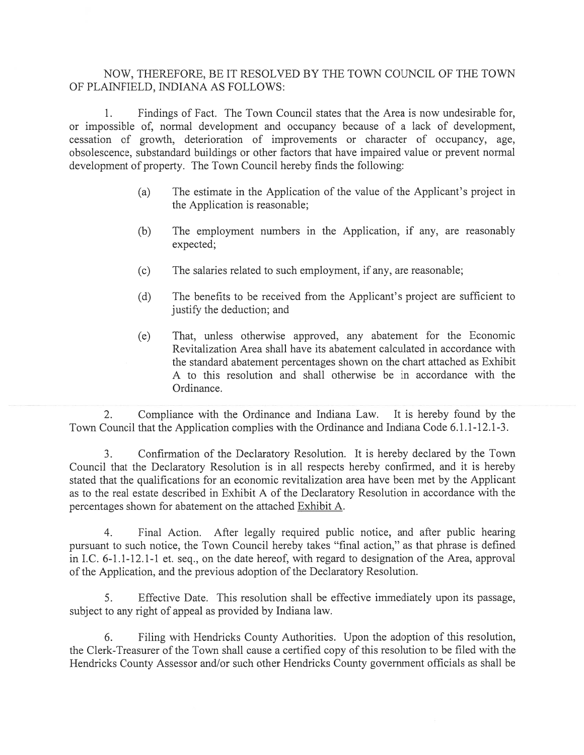## NOW, THEREFORE, BE IT RESOLVED BY THE TOWN COUNCIL OF THE TOWN OF PLAINFIELD, INDIANA AS FOLLOWS:

1. Findings of Fact. The Town Council states that the Area is now undesirable for, or impossible of, normal development and occupancy because of <sup>a</sup> lack of development, cessation of growth, deterioration of improvements or character of occupancy, age, obsolescence, substandard buildings or other factors that have impaired value or preven<sup>t</sup> normal development of property. The Town Council hereby finds the following:

- (a) The estimate in the Application of the value of the Applicant's project in the Application is reasonable;
- (b) The employment numbers in the Application, if any, are reasonably expected;
- (c) The salaries related to such employment, if any, are reasonable;
- (d) The benefits to be received from the Applicant's project are sufficient to justify the deduction; and
- (e) That, unless otherwise approved, any abatement for the Economic Revitalization Area shall have its abatement calculated in accordance with the standard abatement percentages shown on the chart attached as Exhibit A to this resolution and shall otherwise be in accordance with the Ordinance.

2. Compliance with the Ordinance and Indiana Law. It is hereby found by the Town Council that the Application complies with the Ordinance and Indiana Code 6.1.1-12.1-3.

3. Confirmation of the Declaratory Resolution. It is hereby declared by the Town Council that the Declaratory Resolution is in all respects hereby confirmed, and it is hereby stated that the qualifications for an economic revitalization area have been met by the Applicant as to the real estate described in Exhibit A of the Declaratory Resolution in accordance with the percentages shown for abatement on the attached Exhibit A.

4. Final Action. After legally required public notice, and after public hearing pursuan<sup>t</sup> to such notice, the Town Council hereby takes "final action," as that phrase is defined in I.C. 6-1 .1-12. 1-1 et. seq., on the date hereof, with regard to designation of the Area, approval of the Application, and the previous adoption of the Declaratory Resolution.

5. Effective Date. This resolution shall be effective immediately upon its passage, subject to any right of appeal as provided by Indiana law.

6. Filing with Hendricks County Authorities. Upon the adoption of this resolution, the Clerk-Treasurer of the Town shall cause <sup>a</sup> certified copy of this resolution to be filed with the Hendricks County Assessor and/or such other Hendricks County governmen<sup>t</sup> officials as shall be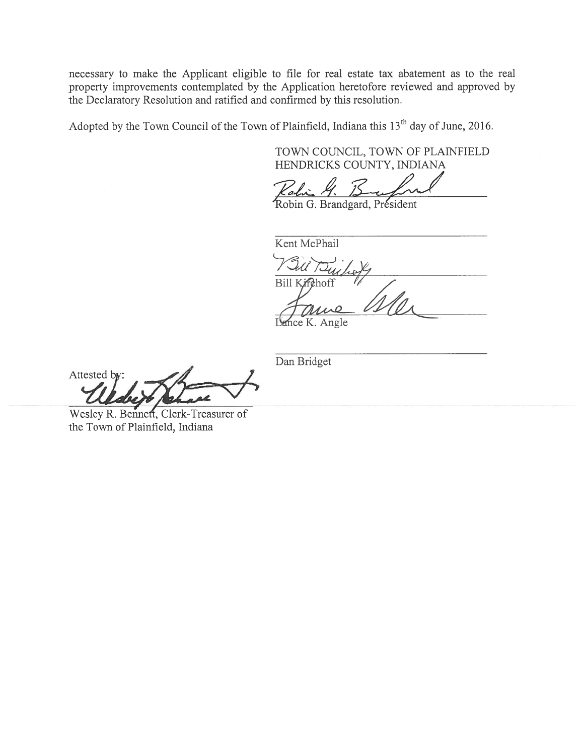necessary to make the Applicant eligible to file for real estate tax abatement as to the real property improvements contemplated by the Application heretofore reviewed and approved by the Declaratory Resolution and ratified and confirmed by this resolution.

Adopted by the Town Council of the Town of Plainfield, Indiana this 13<sup>th</sup> day of June, 2016.

TOWN COUNCIL, TOWN OF PLAINFIELD HENDRICKS COUNTY, INDIANA

Robin G. Brandgard, President

Kent McPhail Bill Kirchoff

Lance K. Angle

Dan Bridget

Attested by:

Wesley R. Bennett, Clerk-Treasurer of the Town of Plainfield, Indiana